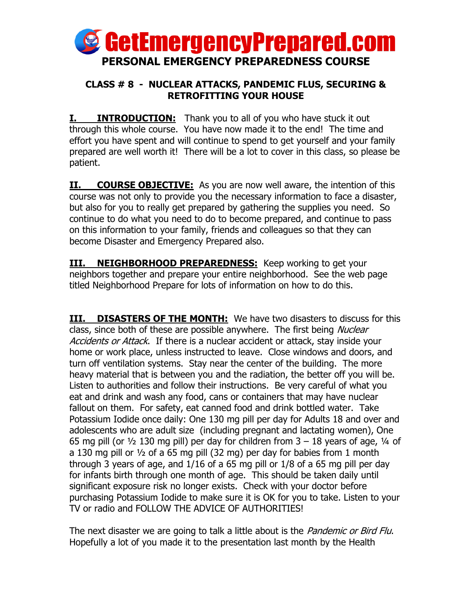

## **CLASS # 8 - NUCLEAR ATTACKS, PANDEMIC FLUS, SECURING & RETROFITTING YOUR HOUSE**

**I. INTRODUCTION:** Thank you to all of you who have stuck it out through this whole course. You have now made it to the end! The time and effort you have spent and will continue to spend to get yourself and your family prepared are well worth it! There will be a lot to cover in this class, so please be patient.

**II. COURSE OBJECTIVE:** As you are now well aware, the intention of this course was not only to provide you the necessary information to face a disaster, but also for you to really get prepared by gathering the supplies you need. So continue to do what you need to do to become prepared, and continue to pass on this information to your family, friends and colleagues so that they can become Disaster and Emergency Prepared also.

**III. NEIGHBORHOOD PREPAREDNESS:** Keep working to get your neighbors together and prepare your entire neighborhood. See the web page titled Neighborhood Prepare for lots of information on how to do this.

**III. DISASTERS OF THE MONTH:** We have two disasters to discuss for this class, since both of these are possible anywhere. The first being Nuclear Accidents or Attack. If there is a nuclear accident or attack, stay inside your home or work place, unless instructed to leave. Close windows and doors, and turn off ventilation systems. Stay near the center of the building. The more heavy material that is between you and the radiation, the better off you will be. Listen to authorities and follow their instructions. Be very careful of what you eat and drink and wash any food, cans or containers that may have nuclear fallout on them. For safety, eat canned food and drink bottled water. Take Potassium Iodide once daily: One 130 mg pill per day for Adults 18 and over and adolescents who are adult size (including pregnant and lactating women), One 65 mg pill (or  $\frac{1}{2}$  130 mg pill) per day for children from 3 – 18 years of age,  $\frac{1}{4}$  of a 130 mg pill or ½ of a 65 mg pill (32 mg) per day for babies from 1 month through 3 years of age, and 1/16 of a 65 mg pill or 1/8 of a 65 mg pill per day for infants birth through one month of age. This should be taken daily until significant exposure risk no longer exists. Check with your doctor before purchasing Potassium Iodide to make sure it is OK for you to take. Listen to your TV or radio and FOLLOW THE ADVICE OF AUTHORITIES!

The next disaster we are going to talk a little about is the *Pandemic or Bird Flu*. Hopefully a lot of you made it to the presentation last month by the Health